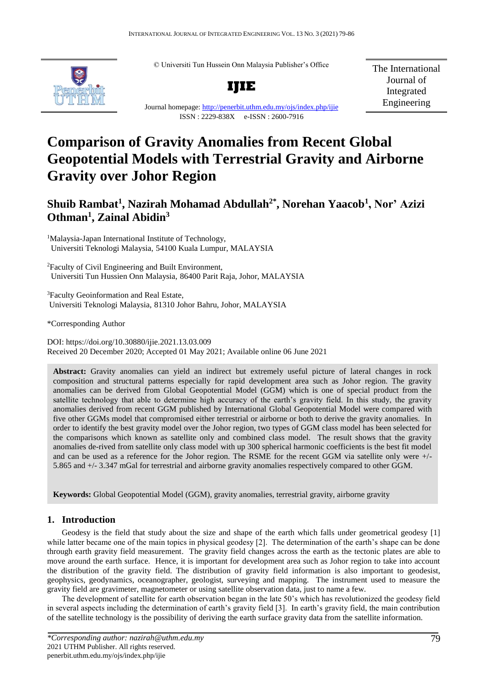© Universiti Tun Hussein Onn Malaysia Publisher's Office



**IJIE**

The International Journal of Integrated Engineering

Journal homepage:<http://penerbit.uthm.edu.my/ojs/index.php/ijie> ISSN : 2229-838X e-ISSN : 2600-7916

# **Comparison of Gravity Anomalies from Recent Global Geopotential Models with Terrestrial Gravity and Airborne Gravity over Johor Region**

# **Shuib Rambat<sup>1</sup> , Nazirah Mohamad Abdullah2\*, Norehan Yaacob<sup>1</sup> , Nor' Azizi Othman<sup>1</sup> , Zainal Abidin<sup>3</sup>**

<sup>1</sup>Malaysia-Japan International Institute of Technology, Universiti Teknologi Malaysia, 54100 Kuala Lumpur, MALAYSIA

<sup>2</sup>Faculty of Civil Engineering and Built Environment, Universiti Tun Hussien Onn Malaysia, 86400 Parit Raja, Johor, MALAYSIA

<sup>3</sup>Faculty Geoinformation and Real Estate, Universiti Teknologi Malaysia, 81310 Johor Bahru, Johor, MALAYSIA

\*Corresponding Author

DOI: https://doi.org/10.30880/ijie.2021.13.03.009 Received 20 December 2020; Accepted 01 May 2021; Available online 06 June 2021

**Abstract:** Gravity anomalies can yield an indirect but extremely useful picture of lateral changes in rock composition and structural patterns especially for rapid development area such as Johor region. The gravity anomalies can be derived from Global Geopotential Model (GGM) which is one of special product from the satellite technology that able to determine high accuracy of the earth's gravity field. In this study, the gravity anomalies derived from recent GGM published by International Global Geopotential Model were compared with five other GGMs model that compromised either terrestrial or airborne or both to derive the gravity anomalies. In order to identify the best gravity model over the Johor region, two types of GGM class model has been selected for the comparisons which known as satellite only and combined class model. The result shows that the gravity anomalies de-rived from satellite only class model with up 300 spherical harmonic coefficients is the best fit model and can be used as a reference for the Johor region. The RSME for the recent GGM via satellite only were +/- 5.865 and +/- 3.347 mGal for terrestrial and airborne gravity anomalies respectively compared to other GGM.

**Keywords:** Global Geopotential Model (GGM), gravity anomalies, terrestrial gravity, airborne gravity

# **1. Introduction**

Geodesy is the field that study about the size and shape of the earth which falls under geometrical geodesy [1] while latter became one of the main topics in physical geodesy [2]. The determination of the earth's shape can be done through earth gravity field measurement. The gravity field changes across the earth as the tectonic plates are able to move around the earth surface. Hence, it is important for development area such as Johor region to take into account the distribution of the gravity field. The distribution of gravity field information is also important to geodesist, geophysics, geodynamics, oceanographer, geologist, surveying and mapping. The instrument used to measure the gravity field are gravimeter, magnetometer or using satellite observation data, just to name a few.

The development of satellite for earth observation began in the late 50's which has revolutionized the geodesy field in several aspects including the determination of earth's gravity field [3]. In earth's gravity field, the main contribution of the satellite technology is the possibility of deriving the earth surface gravity data from the satellite information.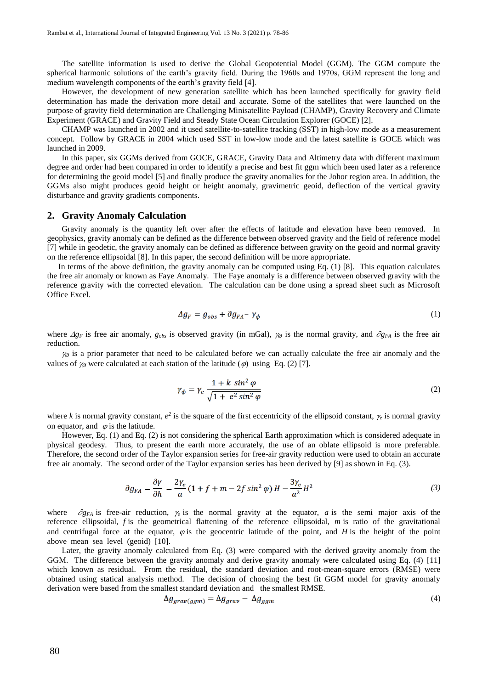The satellite information is used to derive the Global Geopotential Model (GGM). The GGM compute the spherical harmonic solutions of the earth's gravity field. During the 1960s and 1970s, GGM represent the long and medium wavelength components of the earth's gravity field [4].

However, the development of new generation satellite which has been launched specifically for gravity field determination has made the derivation more detail and accurate. Some of the satellites that were launched on the purpose of gravity field determination are Challenging Minisatellite Payload (CHAMP), Gravity Recovery and Climate Experiment (GRACE) and Gravity Field and Steady State Ocean Circulation Explorer (GOCE) [2].

CHAMP was launched in 2002 and it used satellite-to-satellite tracking (SST) in high-low mode as a measurement concept. Follow by GRACE in 2004 which used SST in low-low mode and the latest satellite is GOCE which was launched in 2009.

In this paper, six GGMs derived from GOCE, GRACE, Gravity Data and Altimetry data with different maximum degree and order had been compared in order to identify a precise and best fit ggm which been used later as a reference for determining the geoid model [5] and finally produce the gravity anomalies for the Johor region area. In addition, the GGMs also might produces geoid height or height anomaly, gravimetric geoid, deflection of the vertical gravity disturbance and gravity gradients components.

#### **2. Gravity Anomaly Calculation**

Gravity anomaly is the quantity left over after the effects of latitude and elevation have been removed. In geophysics, gravity anomaly can be defined as the difference between observed gravity and the field of reference model [7] while in geodetic, the gravity anomaly can be defined as difference between gravity on the geoid and normal gravity on the reference ellipsoidal [8]. In this paper, the second definition will be more appropriate.

In terms of the above definition, the gravity anomaly can be computed using Eq. (1) [8]. This equation calculates the free air anomaly or known as Faye Anomaly. The Faye anomaly is a difference between observed gravity with the reference gravity with the corrected elevation. The calculation can be done using a spread sheet such as Microsoft Office Excel.

$$
\Delta g_F = g_{obs} + \partial g_{FA} - \gamma_{\phi} \tag{1}
$$

where  $\Delta g_F$  is free air anomaly,  $g_{obs}$  is observed gravity (in mGal),  $\gamma_\theta$  is the normal gravity, and  $\partial g_{FA}$  is the free air reduction.

 $\gamma_{\emptyset}$  is a prior parameter that need to be calculated before we can actually calculate the free air anomaly and the values of  $\gamma_{\emptyset}$  were calculated at each station of the latitude ( $\varnothing$ ) using Eq. (2) [7].

$$
\gamma_{\phi} = \gamma_e \frac{1 + k \sin^2 \varphi}{\sqrt{1 + e^2 \sin^2 \varphi}}
$$
\n(2)

where *k* is normal gravity constant,  $e^2$  is the square of the first eccentricity of the ellipsoid constant,  $\gamma_e$  is normal gravity on equator, and  $\varphi$  is the latitude.

However, Eq. (1) and Eq. (2) is not considering the spherical Earth approximation which is considered adequate in physical geodesy. Thus, to present the earth more accurately, the use of an oblate ellipsoid is more preferable. Therefore, the second order of the Taylor expansion series for free-air gravity reduction were used to obtain an accurate free air anomaly. The second order of the Taylor expansion series has been derived by [9] as shown in Eq. (3).

$$
\partial g_{FA} = \frac{\partial \gamma}{\partial h} = \frac{2\gamma_e}{a} (1 + f + m - 2f \sin^2 \varphi) H - \frac{3\gamma_e}{a^2} H^2
$$
 (3)

where  $\partial g_{FA}$  is free-air reduction,  $\gamma_e$  is the normal gravity at the equator, *a* is the semi major axis of the reference ellipsoidal, *f* is the geometrical flattening of the reference ellipsoidal, *m* is ratio of the gravitational and centrifugal force at the equator,  $\varphi$  is the geocentric latitude of the point, and *H* is the height of the point above mean sea level (geoid) [10].

Later, the gravity anomaly calculated from Eq. (3) were compared with the derived gravity anomaly from the GGM. The difference between the gravity anomaly and derive gravity anomaly were calculated using Eq. (4) [11] which known as residual. From the residual, the standard deviation and root-mean-square errors (RMSE) were obtained using statical analysis method. The decision of choosing the best fit GGM model for gravity anomaly derivation were based from the smallest standard deviation and the smallest RMSE.

$$
\Delta g_{grav(ggm)} = \Delta g_{grav} - \Delta g_{ggm} \tag{4}
$$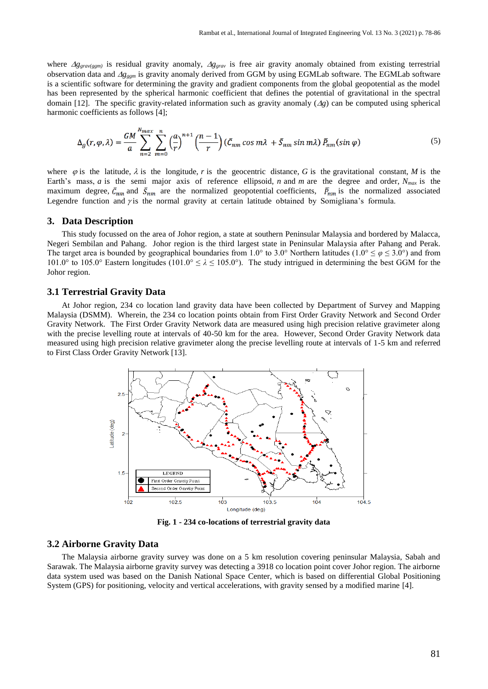where  $Ag_{grav(ggm)}$  is residual gravity anomaly,  $Ag_{grav}$  is free air gravity anomaly obtained from existing terrestrial observation data and *gggm* is gravity anomaly derived from GGM by using EGMLab software. The EGMLab software is a scientific software for determining the gravity and gradient components from the global geopotential as the model has been represented by the spherical harmonic coefficient that defines the potential of gravitational in the spectral domain [12]. The specific gravity-related information such as gravity anomaly  $(\Delta g)$  can be computed using spherical harmonic coefficients as follows [4];

$$
\Delta_g(r,\varphi,\lambda) = \frac{GM}{a} \sum_{n=2}^{N_{max}} \sum_{m=0}^{n} \left(\frac{a}{r}\right)^{n+1} \left(\frac{n-1}{r}\right) \left(\bar{C}_{nm} \cos m\lambda + \bar{S}_{nm} \sin m\lambda\right) \bar{P}_{nm}(\sin \varphi)
$$
(5)

where  $\varphi$  is the latitude,  $\lambda$  is the longitude, r is the geocentric distance, G is the gravitational constant, M is the Earth's mass, *a* is the semi major axis of reference ellipsoid, *n* and *m* are the degree and order, *Nmax* is the maximum degree,  $\bar{c}_{nm}$  and  $\bar{S}_{nm}$  are the normalized geopotential coefficients,  $\bar{P}_{nm}$  is the normalized associated Legendre function and  $\gamma$  is the normal gravity at certain latitude obtained by Somigliana's formula.

#### **3. Data Description**

This study focussed on the area of Johor region, a state at southern Peninsular Malaysia and bordered by Malacca, Negeri Sembilan and Pahang. Johor region is the third largest state in Peninsular Malaysia after Pahang and Perak. The target area is bounded by geographical boundaries from 1.0° to 3.0° Northern latitudes (1.0°  $\leq \varphi \leq 3.0$ °) and from 101.0° to 105.0° Eastern longitudes (101.0°  $\le \lambda \le 105.0$ °). The study intrigued in determining the best GGM for the Johor region.

#### **3.1 Terrestrial Gravity Data**

At Johor region, 234 co location land gravity data have been collected by Department of Survey and Mapping Malaysia (DSMM). Wherein, the 234 co location points obtain from First Order Gravity Network and Second Order Gravity Network. The First Order Gravity Network data are measured using high precision relative gravimeter along with the precise levelling route at intervals of 40-50 km for the area. However, Second Order Gravity Network data measured using high precision relative gravimeter along the precise levelling route at intervals of 1-5 km and referred to First Class Order Gravity Network [13].



**Fig. 1 - 234 co-locations of terrestrial gravity data**

#### **3.2 Airborne Gravity Data**

The Malaysia airborne gravity survey was done on a 5 km resolution covering peninsular Malaysia, Sabah and Sarawak. The Malaysia airborne gravity survey was detecting a 3918 co location point cover Johor region. The airborne data system used was based on the Danish National Space Center, which is based on differential Global Positioning System (GPS) for positioning, velocity and vertical accelerations, with gravity sensed by a modified marine [4].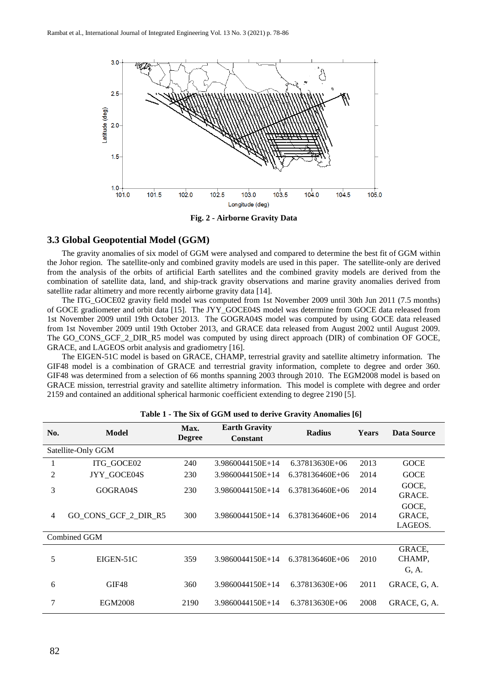

**Fig. 2 - Airborne Gravity Data**

### **3.3 Global Geopotential Model (GGM)**

The gravity anomalies of six model of GGM were analysed and compared to determine the best fit of GGM within the Johor region. The satellite-only and combined gravity models are used in this paper. The satellite-only are derived from the analysis of the orbits of artificial Earth satellites and the combined gravity models are derived from the combination of satellite data, land, and ship-track gravity observations and marine gravity anomalies derived from satellite radar altimetry and more recently airborne gravity data [14].

The ITG\_GOCE02 gravity field model was computed from 1st November 2009 until 30th Jun 2011 (7.5 months) of GOCE gradiometer and orbit data [15]. The JYY\_GOCE04S model was determine from GOCE data released from 1st November 2009 until 19th October 2013. The GOGRA04S model was computed by using GOCE data released from 1st November 2009 until 19th October 2013, and GRACE data released from August 2002 until August 2009. The GO\_CONS\_GCF\_2\_DIR\_R5 model was computed by using direct approach (DIR) of combination OF GOCE, GRACE, and LAGEOS orbit analysis and gradiometry [16].

The EIGEN-51C model is based on GRACE, CHAMP, terrestrial gravity and satellite altimetry information. The GIF48 model is a combination of GRACE and terrestrial gravity information, complete to degree and order 360. GIF48 was determined from a selection of 66 months spanning 2003 through 2010. The EGM2008 model is based on GRACE mission, terrestrial gravity and satellite altimetry information. This model is complete with degree and order 2159 and contained an additional spherical harmonic coefficient extending to degree 2190 [5].

| No. | <b>Model</b>         | Max.<br><b>Degree</b> | <b>Earth Gravity</b><br><b>Constant</b> | <b>Radius</b>   | <b>Years</b> | Data Source                |  |
|-----|----------------------|-----------------------|-----------------------------------------|-----------------|--------------|----------------------------|--|
|     | Satellite-Only GGM   |                       |                                         |                 |              |                            |  |
|     | ITG_GOCE02           | 240                   | 3.9860044150E+14                        | 6.37813630E+06  | 2013         | <b>GOCE</b>                |  |
| 2   | JYY GOCE04S          | 230                   | 3.9860044150E+14                        | 6.378136460E+06 | 2014         | <b>GOCE</b>                |  |
| 3   | GOGRA04S             | 230                   | 3.9860044150E+14                        | 6.378136460E+06 | 2014         | GOCE,<br>GRACE.            |  |
| 4   | GO_CONS_GCF_2_DIR_R5 | 300                   | 3.9860044150E+14                        | 6.378136460E+06 | 2014         | GOCE,<br>GRACE.<br>LAGEOS. |  |
|     | Combined GGM         |                       |                                         |                 |              |                            |  |
| 5   | EIGEN-51C            | 359                   | 3.9860044150E+14                        | 6.378136460E+06 | 2010         | GRACE,<br>CHAMP,<br>G, A.  |  |
| 6   | GIF48                | 360                   | 3.9860044150E+14                        | 6.37813630E+06  | 2011         | GRACE, G. A.               |  |
| 7   | <b>EGM2008</b>       | 2190                  | 3.9860044150E+14                        | 6.37813630E+06  | 2008         | GRACE, G, A.               |  |

**Table 1 - The Six of GGM used to derive Gravity Anomalies [6]**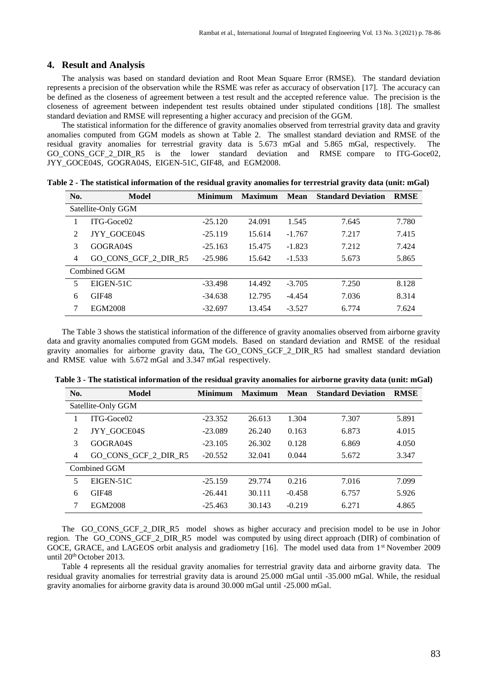#### **4. Result and Analysis**

The analysis was based on standard deviation and Root Mean Square Error (RMSE). The standard deviation represents a precision of the observation while the RSME was refer as accuracy of observation [17]. The accuracy can be defined as the closeness of agreement between a test result and the accepted reference value. The precision is the closeness of agreement between independent test results obtained under stipulated conditions [18]. The smallest standard deviation and RMSE will representing a higher accuracy and precision of the GGM.

The statistical information for the difference of gravity anomalies observed from terrestrial gravity data and gravity anomalies computed from GGM models as shown at Table 2. The smallest standard deviation and RMSE of the residual gravity anomalies for terrestrial gravity data is 5.673 mGal and 5.865 mGal, respectively. The GO CONS GCF 2 DIR R5 is the lower standard deviation and RMSE compare to ITG-Goce02, [JYY\\_GOCE04S,](http://www.iapg.bgu.tum.de/Mitarbeiter/Weiyong_Yi/) [GOGRA04S,](http://www.iapg.bgu.tum.de/Mitarbeiter/Weiyong_Yi/) EIGEN-51C, [GIF48,](ftp://ftp.csr.utexas.edu/pub/grace/GIF48/GSTM2011_Ries_etal.pdf) and [EGM2008.](http://earth.esa.int/GOCE/)

| No.            | Model                | <b>Minimum</b> | <b>Maximum</b> | Mean     | <b>Standard Deviation</b> | <b>RMSE</b> |
|----------------|----------------------|----------------|----------------|----------|---------------------------|-------------|
|                | Satellite-Only GGM   |                |                |          |                           |             |
|                | $ITG-Goce02$         | $-25.120$      | 24.091         | 1.545    | 7.645                     | 7.780       |
| 2              | JYY GOCE04S          | $-25.119$      | 15.614         | $-1.767$ | 7.217                     | 7.415       |
| 3              | GOGRA04S             | $-25.163$      | 15.475         | $-1.823$ | 7.212                     | 7.424       |
| $\overline{4}$ | GO_CONS_GCF_2_DIR_R5 | $-25.986$      | 15.642         | $-1.533$ | 5.673                     | 5.865       |
|                | Combined GGM         |                |                |          |                           |             |
| 5              | EIGEN-51C            | $-33.498$      | 14.492         | $-3.705$ | 7.250                     | 8.128       |
| 6              | GIF48                | $-34.638$      | 12.795         | $-4.454$ | 7.036                     | 8.314       |
| 7              | EGM2008              | $-32.697$      | 13.454         | $-3.527$ | 6.774                     | 7.624       |

**Table 2 - The statistical information of the residual gravity anomalies for terrestrial gravity data (unit: mGal)**

The Table 3 shows the statistical information of the difference of gravity anomalies observed from airborne gravity data and gravity anomalies computed from GGM models. Based on standard deviation and RMSE of the residual gravity anomalies for airborne gravity data, The [GO\\_CONS\\_GCF\\_2\\_DIR\\_R5](http://earth.esa.int/GOCE/) had smallest standard deviation and RMSE value with 5.672 mGal and 3.347 mGal respectively.

| No. | Model                | <b>Minimum</b> | <b>Maximum</b> | Mean     | <b>Standard Deviation</b> | <b>RMSE</b> |
|-----|----------------------|----------------|----------------|----------|---------------------------|-------------|
|     | Satellite-Only GGM   |                |                |          |                           |             |
|     | $ITG-Goce02$         | $-23.352$      | 26.613         | 1.304    | 7.307                     | 5.891       |
| 2   | JYY GOCE04S          | $-23.089$      | 26.240         | 0.163    | 6.873                     | 4.015       |
| 3   | GOGRA04S             | $-23.105$      | 26.302         | 0.128    | 6.869                     | 4.050       |
| 4   | GO CONS GCF 2 DIR R5 | $-20.552$      | 32.041         | 0.044    | 5.672                     | 3.347       |
|     | Combined GGM         |                |                |          |                           |             |
| 5   | EIGEN-51C            | $-25.159$      | 29.774         | 0.216    | 7.016                     | 7.099       |
| 6   | GIF48                | $-26.441$      | 30.111         | $-0.458$ | 6.757                     | 5.926       |
|     | EGM2008              | $-25.463$      | 30.143         | $-0.219$ | 6.271                     | 4.865       |

**Table 3 - The statistical information of the residual gravity anomalies for airborne gravity data (unit: mGal)**

The [GO\\_CONS\\_GCF\\_2\\_DIR\\_R5](http://earth.esa.int/GOCE/) model shows as higher accuracy and precision model to be use in Johor region. The [GO\\_CONS\\_GCF\\_2\\_DIR\\_R5](http://earth.esa.int/GOCE/) model was computed by using direct approach (DIR) of combination of GOCE, GRACE, and LAGEOS orbit analysis and gradiometry [16]. The model used data from 1<sup>st</sup> November 2009 until 20<sup>th</sup> October 2013.

Table 4 represents all the residual gravity anomalies for terrestrial gravity data and airborne gravity data. The residual gravity anomalies for terrestrial gravity data is around 25.000 mGal until -35.000 mGal. While, the residual gravity anomalies for airborne gravity data is around 30.000 mGal until -25.000 mGal.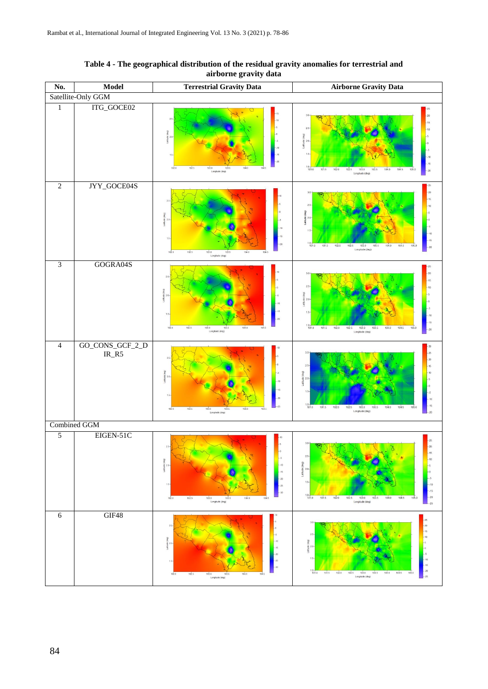| No.            | <b>Model</b>               | <b>Terrestrial Gravity Data</b>                                                                                                                             | <b>Airborne Gravity Data</b>                                                                                                                                                                                                                       |  |  |
|----------------|----------------------------|-------------------------------------------------------------------------------------------------------------------------------------------------------------|----------------------------------------------------------------------------------------------------------------------------------------------------------------------------------------------------------------------------------------------------|--|--|
|                | Satellite-Only GGM         |                                                                                                                                                             |                                                                                                                                                                                                                                                    |  |  |
| $\mathbf{1}$   | ITG_GOCE02                 | $\overline{2}$<br>8 20<br>102.0<br>102.5<br>1030<br>103.5<br>104.0<br>1045<br>Longtude (deg)                                                                | 20<br>25<br>3eg)<br>$\frac{6}{3}$ 20-<br>$10 + 10 + 10$<br>104.5<br>101.5<br>1020<br>103.0<br>102.5<br>103.5<br>105.0<br>$-20$<br>104.0<br>Longitude (deg)                                                                                         |  |  |
| $\overline{2}$ | JYY_GOCE04S                | $\frac{1}{2}$<br>춱<br>10.<br>$-15$<br>1.5<br>$-20$<br>102.5<br>104.0<br>102.0<br>103.0<br>103.5<br>.104.5<br>Longitude (deg)                                | 25<br>$\overline{20}$<br>2.1<br>음 2.1<br>$-15$<br>$1.0 - 101.0$<br>101.5<br>102.0<br>103.0<br>103.5<br>104.5<br>102.5<br>104.0<br>105.0<br>$\overline{20}$<br>Longitude (deg)                                                                      |  |  |
| $\overline{3}$ | GOGRA04S                   | $\frac{1}{8}$<br>$4884$<br>104.0<br>103.0<br>102.0<br>102.5<br>103.5<br>104.5<br>Longitude (deg)                                                            | 25<br>2.5<br>820<br>13<br>.15<br>101.5<br>103.0<br>103.5<br>102.0<br>102.5<br>104.5<br>104.0<br>105.0<br>$-20$<br>Longitude (deg)                                                                                                                  |  |  |
| $\overline{4}$ | GO_CONS_GCF_2_D<br>$IR_R5$ | ute(deg)<br>1.5<br>36<br>103.5<br>104.0<br>103.0<br>102.0<br>102.5<br>104.5<br>Longitude (deg)                                                              | 3.0<br>25<br>hude (deg)<br>ş<br>$10 - 10$<br>$-15$<br>101.5<br>102.0<br>102.5<br>103.0<br>103.5<br>104.0<br>104.5<br>105.0<br>Longitude (deg)                                                                                                      |  |  |
|                | Combined GGM               |                                                                                                                                                             |                                                                                                                                                                                                                                                    |  |  |
| $\overline{5}$ | EIGEN-51C                  | 2.5<br>$-8$<br>g<br>$-10$<br>喜 2.0<br>$-16$<br>$-20$<br>1.5<br>$\cdot 26$<br>$-30$<br>102.0<br>102.6<br>103.0<br>103.5<br>104.6<br>104.0<br>Longitude (deg) | $-25$<br>$\overline{30}$<br>$15 -$<br>$25 -$<br>$-10$<br>$\frac{1}{8}$<br>Latbot<br>$\overline{5}$<br>$-10$<br>$-15$<br>$10 - 101.0$<br>$-20$<br>101.5<br>102.0<br>102.5<br>103.0<br>103.5<br>104.0<br>104.5<br>105.0<br>Longitude (deg)<br>$-.25$ |  |  |
| 6              | GIF48                      | $^{2}$<br>$10^{10}$<br>$\frac{1}{6}$ 2.0<br>16<br>1.5<br>102.0<br>102.5<br>100.0<br>103.5<br>1040<br>104.5<br>Longitude (deg)                               | $-25$<br>3.0<br>$-20$<br>$-15$<br>2.5<br>$\overline{g}$<br>8 2.0<br>1.5<br>$-15$<br>$1.0 - 101.0$<br>$-20$<br>101.5<br>102.0<br>102.5<br>103.0<br>103.5<br>104.0<br>104.5<br>105.0<br>Longitude (deg)<br>$-25$                                     |  |  |

# **Table 4 - The geographical distribution of the residual gravity anomalies for terrestrial and airborne gravity data**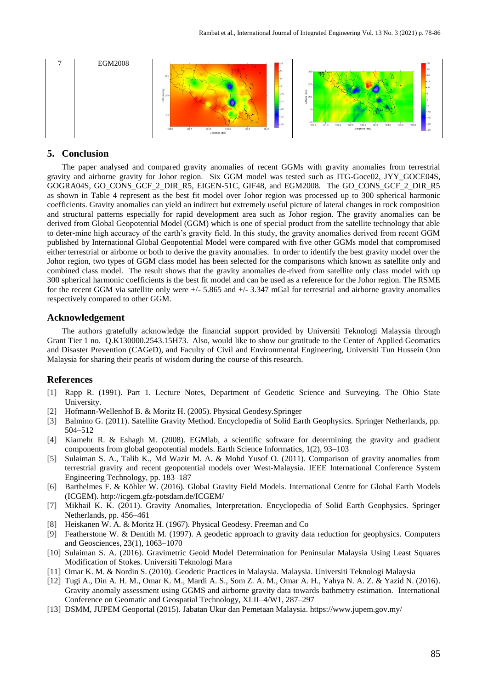| ┍ | <b>EGM2008</b> | $-10$<br>L.R<br>25<br>$\overline{\mathbf{a}}$<br>$+10$<br>s<br>\$20<br>$-.15$<br>$-20$<br>13<br>$-.25$<br>$-.30$<br>104.0<br>103.5<br>104.5<br>102.0<br>102.5<br>103.0<br>Longitude (deg) | $-25$<br>$2.5 -$<br>$\overline{r}$<br>$20 -$<br>$1.5 -$<br>$10 -$<br>16<br>$1.0 + 101.0$<br>$-20$<br>101.5<br>104.5<br>105.0<br>102.0<br>104.0<br>103.0<br>103.5<br>102.5<br>Longitude (deg)<br>$-25$ |
|---|----------------|-------------------------------------------------------------------------------------------------------------------------------------------------------------------------------------------|-------------------------------------------------------------------------------------------------------------------------------------------------------------------------------------------------------|
|---|----------------|-------------------------------------------------------------------------------------------------------------------------------------------------------------------------------------------|-------------------------------------------------------------------------------------------------------------------------------------------------------------------------------------------------------|

# **5. Conclusion**

The paper analysed and compared gravity anomalies of recent GGMs with gravity anomalies from terrestrial gravity and airborne gravity for Johor region. Six GGM model was tested such as ITG-Goce02, JYY\_GOCE04S, GOGRA04S, GO\_CONS\_GCF\_2\_DIR\_R5, EIGEN-51C, GIF48, and EGM2008. The GO\_CONS\_GCF\_2\_DIR\_R5 as shown in Table 4 represent as the best fit model over Johor region was processed up to 300 spherical harmonic coefficients. Gravity anomalies can yield an indirect but extremely useful picture of lateral changes in rock composition and structural patterns especially for rapid development area such as Johor region. The gravity anomalies can be derived from Global Geopotential Model (GGM) which is one of special product from the satellite technology that able to deter-mine high accuracy of the earth's gravity field. In this study, the gravity anomalies derived from recent GGM published by International Global Geopotential Model were compared with five other GGMs model that compromised either terrestrial or airborne or both to derive the gravity anomalies. In order to identify the best gravity model over the Johor region, two types of GGM class model has been selected for the comparisons which known as satellite only and combined class model. The result shows that the gravity anomalies de-rived from satellite only class model with up 300 spherical harmonic coefficients is the best fit model and can be used as a reference for the Johor region. The RSME for the recent GGM via satellite only were  $+/-$  5.865 and  $+/-$  3.347 mGal for terrestrial and airborne gravity anomalies respectively compared to other GGM.

#### **Acknowledgement**

The authors gratefully acknowledge the financial support provided by Universiti Teknologi Malaysia through Grant Tier 1 no. Q.K130000.2543.15H73. Also, would like to show our gratitude to the Center of Applied Geomatics and Disaster Prevention (CAGeD), and Faculty of Civil and Environmental Engineering, Universiti Tun Hussein Onn Malaysia for sharing their pearls of wisdom during the course of this research.

# **References**

- [1] Rapp R. (1991). Part 1. Lecture Notes, Department of Geodetic Science and Surveying. The Ohio State University.
- [2] Hofmann-Wellenhof B. & Moritz H. (2005). Physical Geodesy.Springer
- [3] Balmino G. (2011). Satellite Gravity Method. Encyclopedia of Solid Earth Geophysics. Springer Netherlands, pp. 504–512
- [4] Kiamehr R. & Eshagh M. (2008). EGMlab, a scientific software for determining the gravity and gradient components from global geopotential models. Earth Science Informatics, 1(2), 93–103
- [5] Sulaiman S. A., Talib K., Md Wazir M. A. & Mohd Yusof O. (2011). Comparison of gravity anomalies from terrestrial gravity and recent geopotential models over West-Malaysia. IEEE International Conference System Engineering Technology, pp. 183–187
- [6] Barthelmes F. & Köhler W. (2016). Global Gravity Field Models. International Centre for Global Earth Models (ICGEM).<http://icgem.gfz-potsdam.de/ICGEM/>
- [7] Mikhail K. K. (2011). Gravity Anomalies, Interpretation. Encyclopedia of Solid Earth Geophysics. Springer Netherlands, pp. 456–461
- [8] Heiskanen W. A. & Moritz H. (1967). Physical Geodesy. Freeman and Co
- [9] Featherstone W. & Dentith M. (1997). A geodetic approach to gravity data reduction for geophysics. Computers and Geosciences, 23(1), 1063–1070
- [10] Sulaiman S. A. (2016). Gravimetric Geoid Model Determination for Peninsular Malaysia Using Least Squares Modification of Stokes. Universiti Teknologi Mara
- [11] Omar K. M. & Nordin S. (2010). Geodetic Practices in Malaysia. Malaysia. Universiti Teknologi Malaysia
- [12] Tugi A., Din A. H. M., Omar K. M., Mardi A. S., Som Z. A. M., Omar A. H., Yahya N. A. Z. & Yazid N. (2016). Gravity anomaly assessment using GGMS and airborne gravity data towards bathmetry estimation. International Conference on Geomatic and Geospatial Technology, XLII–4/W1, 287–297
- [13] DSMM, JUPEM Geoportal (2015). Jabatan Ukur dan Pemetaan Malaysia. https://www.jupem.gov.my/